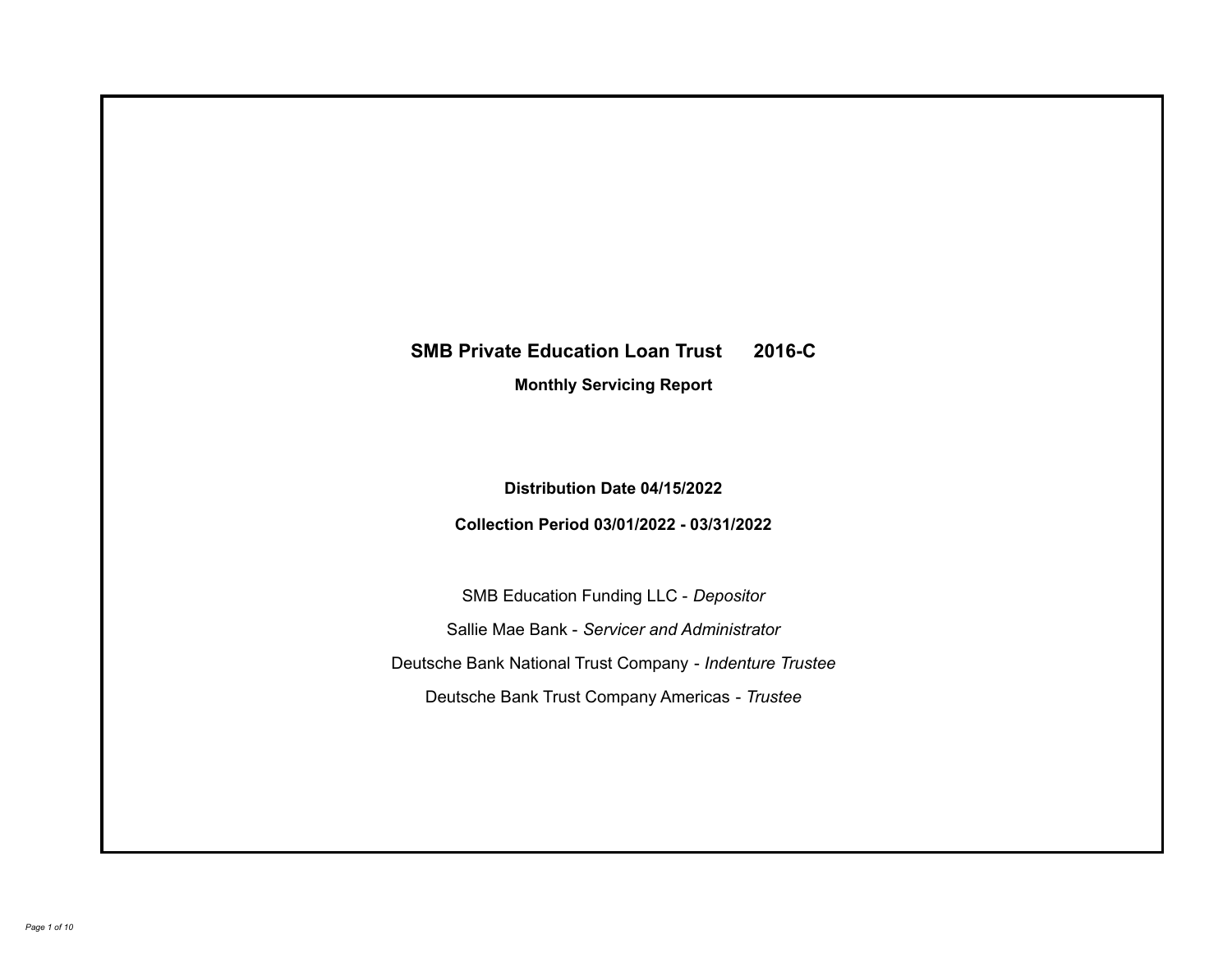# **SMB Private Education Loan Trust 2016-C**

**Monthly Servicing Report**

**Distribution Date 04/15/2022**

**Collection Period 03/01/2022 - 03/31/2022**

SMB Education Funding LLC - *Depositor* Sallie Mae Bank - *Servicer and Administrator* Deutsche Bank National Trust Company - *Indenture Trustee* Deutsche Bank Trust Company Americas - *Trustee*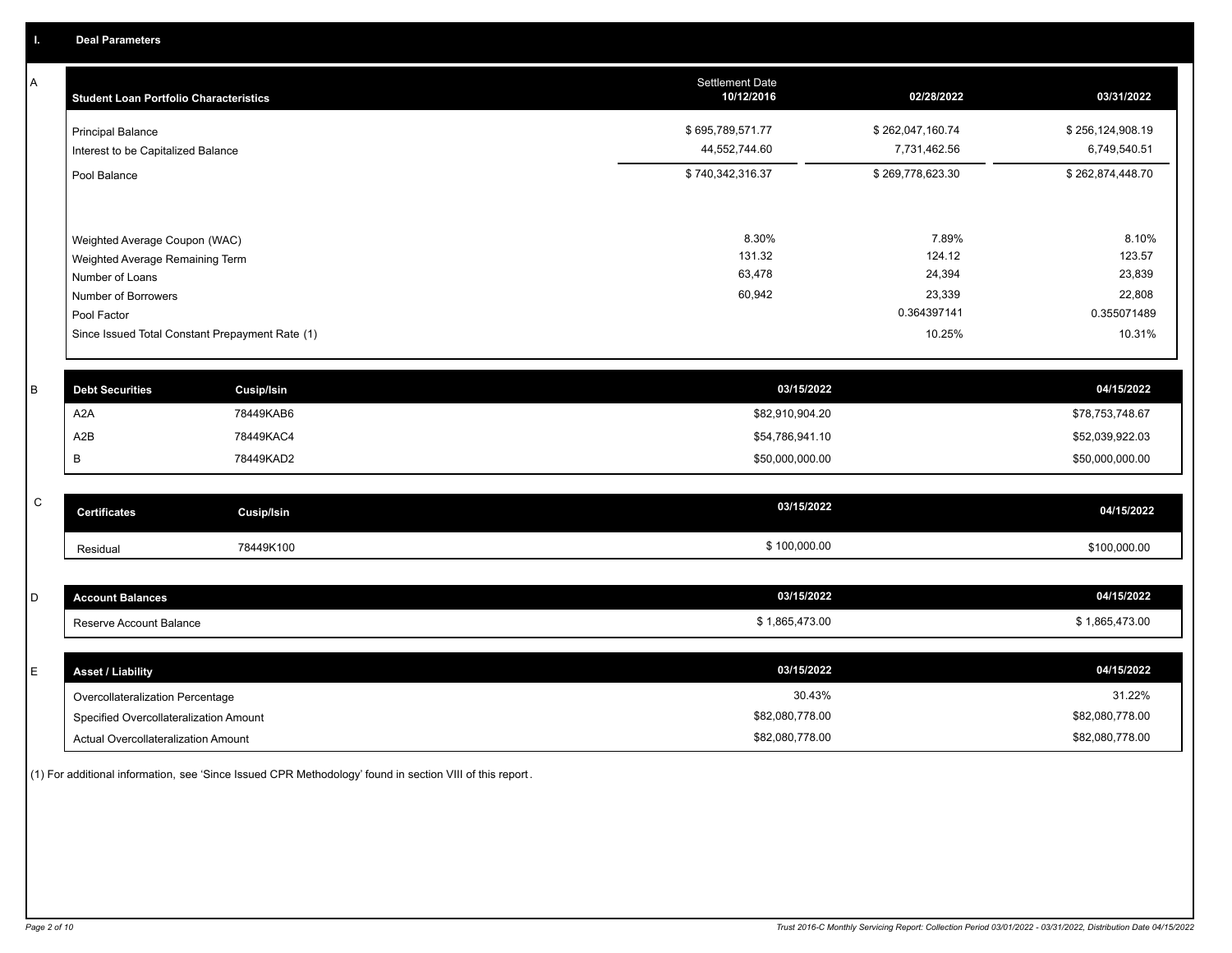A

| А | <b>Student Loan Portfolio Characteristics</b>                  |                   | <b>Settlement Date</b><br>10/12/2016 | 02/28/2022                       | 03/31/2022                       |
|---|----------------------------------------------------------------|-------------------|--------------------------------------|----------------------------------|----------------------------------|
|   | <b>Principal Balance</b><br>Interest to be Capitalized Balance |                   | \$695,789,571.77<br>44,552,744.60    | \$262,047,160.74<br>7,731,462.56 | \$256,124,908.19<br>6,749,540.51 |
|   | Pool Balance                                                   |                   | \$740,342,316.37                     | \$269,778,623.30                 | \$262,874,448.70                 |
|   | Weighted Average Coupon (WAC)                                  |                   | 8.30%                                | 7.89%                            | 8.10%                            |
|   | Weighted Average Remaining Term                                |                   | 131.32                               | 124.12                           | 123.57                           |
|   | Number of Loans                                                |                   | 63,478                               | 24,394                           | 23,839                           |
|   | Number of Borrowers                                            |                   | 60,942                               | 23,339                           | 22,808                           |
|   | Pool Factor                                                    |                   |                                      | 0.364397141                      | 0.355071489                      |
|   | Since Issued Total Constant Prepayment Rate (1)                |                   |                                      | 10.25%                           | 10.31%                           |
|   |                                                                |                   |                                      |                                  |                                  |
| B | <b>Debt Securities</b>                                         | <b>Cusip/Isin</b> | 03/15/2022                           |                                  | 04/15/2022                       |
|   | A <sub>2</sub> A                                               | 78449KAB6         | \$82,910,904.20                      |                                  | \$78,753,748.67                  |
|   | A2B                                                            | 78449KAC4         | \$54,786,941.10                      |                                  | \$52,039,922.03                  |
|   |                                                                |                   |                                      |                                  |                                  |

| $\sim$<br>U | <b>Certificates</b> | Cusip/Isin | 03/15/2022   | 04/15/2022   |
|-------------|---------------------|------------|--------------|--------------|
|             | Residual            | 78449K100  | \$100,000.00 | \$100,000.00 |

B 78449KAD2 78449KAD2 78449KAD2 50,000,000 \$50,000,000 \$50,000,000.00 \$50,000,000 \$50,000,000 \$50,000,000.00

| $\overline{\phantom{a}}$<br>ັ | <b>Account Balances</b> | 03/15/2022     | 04/15/2022   |
|-------------------------------|-------------------------|----------------|--------------|
|                               | Reserve Account Balance | \$1,865,473.00 | 1,865,473.00 |

| <b>Asset / Liability</b>               | 03/15/2022      | 04/15/2022      |
|----------------------------------------|-----------------|-----------------|
| Overcollateralization Percentage       | 30.43%          | 31.22%          |
| Specified Overcollateralization Amount | \$82,080,778.00 | \$82,080,778.00 |
| Actual Overcollateralization Amount    | \$82,080,778.00 | \$82,080,778.00 |

(1) For additional information, see 'Since Issued CPR Methodology' found in section VIII of this report .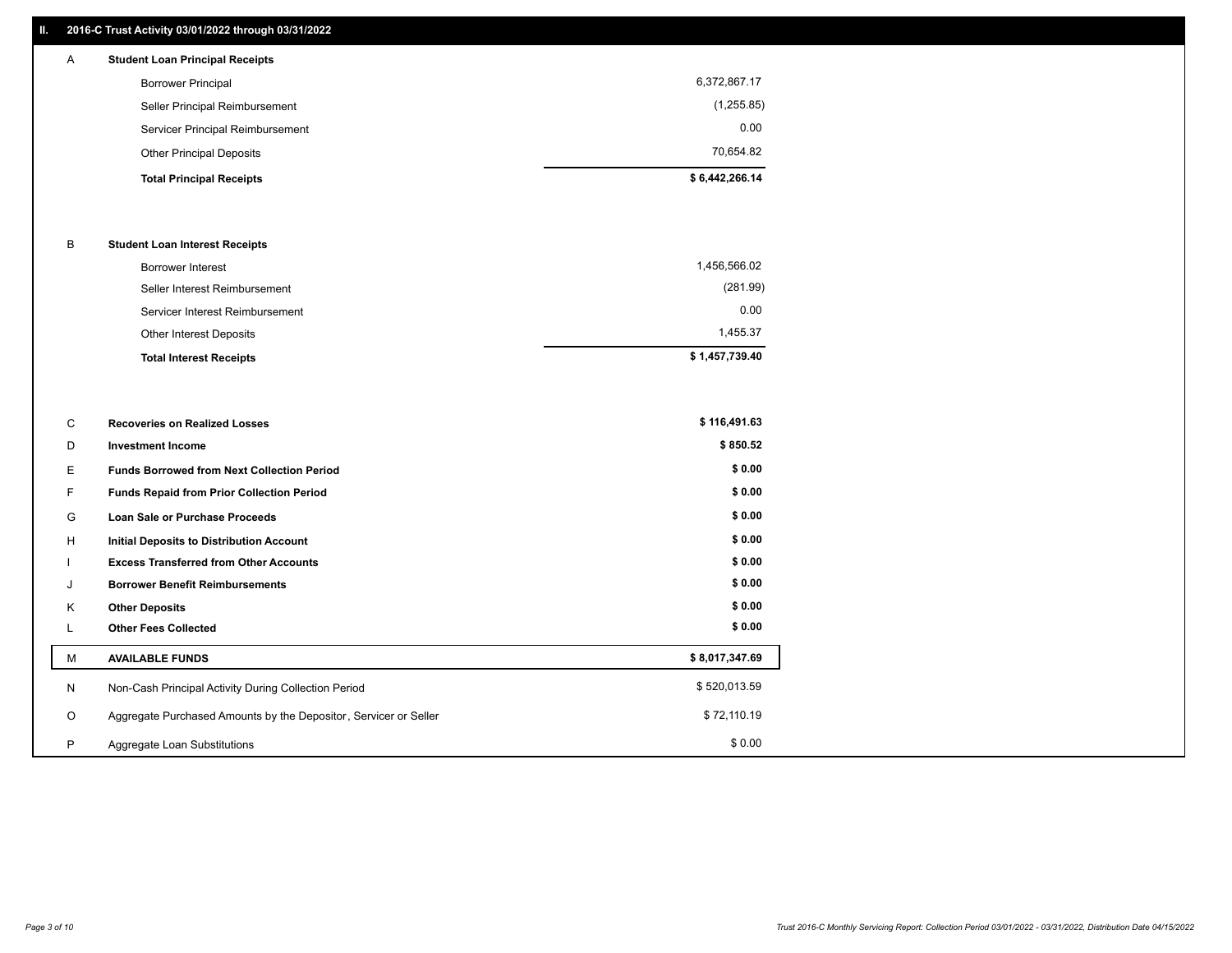## **II. 2016-C Trust Activity 03/01/2022 through 03/31/2022**

| A | <b>Student Loan Principal Receipts</b> |                |
|---|----------------------------------------|----------------|
|   | <b>Borrower Principal</b>              | 6,372,867.17   |
|   | Seller Principal Reimbursement         | (1,255.85)     |
|   | Servicer Principal Reimbursement       | 0.00           |
|   | <b>Other Principal Deposits</b>        | 70.654.82      |
|   | <b>Total Principal Receipts</b>        | \$6,442,266.14 |

#### B **Student Loan Interest Receipts**

| <b>Total Interest Receipts</b>  | \$1,457,739.40 |
|---------------------------------|----------------|
| <b>Other Interest Deposits</b>  | 1.455.37       |
| Servicer Interest Reimbursement | 0.00           |
| Seller Interest Reimbursement   | (281.99)       |
| Borrower Interest               | 1,456,566.02   |

| С       | <b>Recoveries on Realized Losses</b>                             | \$116,491.63   |
|---------|------------------------------------------------------------------|----------------|
| D       | <b>Investment Income</b>                                         | \$850.52       |
| Е.      | <b>Funds Borrowed from Next Collection Period</b>                | \$0.00         |
| F.      | <b>Funds Repaid from Prior Collection Period</b>                 | \$0.00         |
| G       | Loan Sale or Purchase Proceeds                                   | \$0.00         |
| H       | <b>Initial Deposits to Distribution Account</b>                  | \$0.00         |
|         | <b>Excess Transferred from Other Accounts</b>                    | \$0.00         |
| J       | <b>Borrower Benefit Reimbursements</b>                           | \$0.00         |
| K       | <b>Other Deposits</b>                                            | \$0.00         |
| ┗       | <b>Other Fees Collected</b>                                      | \$0.00         |
| М       | <b>AVAILABLE FUNDS</b>                                           | \$8,017,347.69 |
| N       | Non-Cash Principal Activity During Collection Period             | \$520,013.59   |
| $\circ$ | Aggregate Purchased Amounts by the Depositor, Servicer or Seller | \$72,110.19    |
| P       | Aggregate Loan Substitutions                                     | \$0.00         |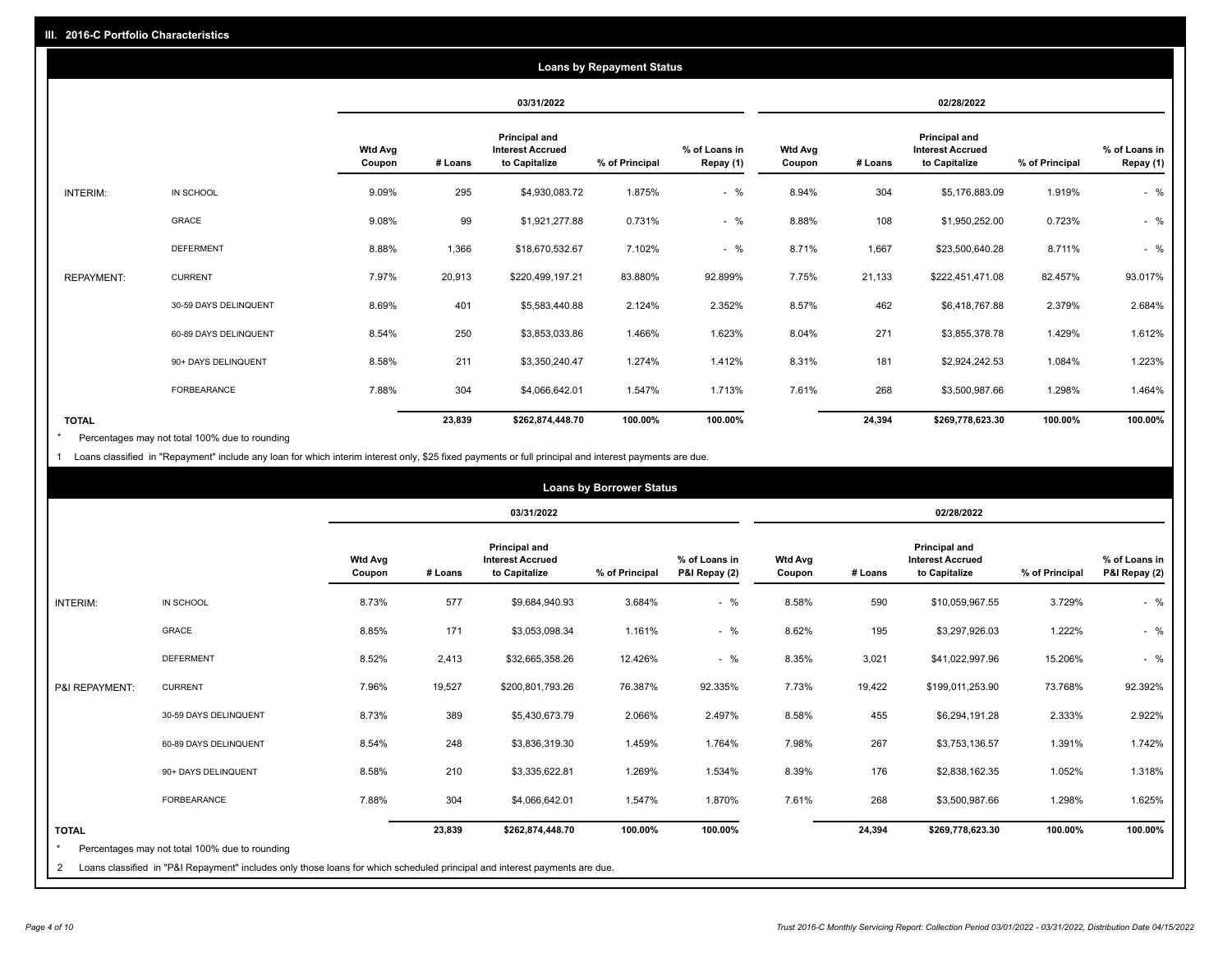|                   |                       |                          |         |                                                           | <b>Loans by Repayment Status</b> |                            |                          |         |                                                           |                |                            |
|-------------------|-----------------------|--------------------------|---------|-----------------------------------------------------------|----------------------------------|----------------------------|--------------------------|---------|-----------------------------------------------------------|----------------|----------------------------|
|                   |                       |                          |         | 03/31/2022                                                |                                  |                            |                          |         | 02/28/2022                                                |                |                            |
|                   |                       | <b>Wtd Avg</b><br>Coupon | # Loans | Principal and<br><b>Interest Accrued</b><br>to Capitalize | % of Principal                   | % of Loans in<br>Repay (1) | <b>Wtd Avg</b><br>Coupon | # Loans | Principal and<br><b>Interest Accrued</b><br>to Capitalize | % of Principal | % of Loans in<br>Repay (1) |
| INTERIM:          | IN SCHOOL             | 9.09%                    | 295     | \$4,930,083.72                                            | 1.875%                           | $-$ %                      | 8.94%                    | 304     | \$5,176,883.09                                            | 1.919%         | $-$ %                      |
|                   | GRACE                 | 9.08%                    | 99      | \$1,921,277.88                                            | 0.731%                           | $-$ %                      | 8.88%                    | 108     | \$1,950,252.00                                            | 0.723%         | $-$ %                      |
|                   | <b>DEFERMENT</b>      | 8.88%                    | 1,366   | \$18,670,532.67                                           | 7.102%                           | $-$ %                      | 8.71%                    | 1,667   | \$23,500,640.28                                           | 8.711%         | $-$ %                      |
| <b>REPAYMENT:</b> | <b>CURRENT</b>        | 7.97%                    | 20,913  | \$220,499,197.21                                          | 83.880%                          | 92.899%                    | 7.75%                    | 21,133  | \$222,451,471.08                                          | 82.457%        | 93.017%                    |
|                   | 30-59 DAYS DELINQUENT | 8.69%                    | 401     | \$5,583,440.88                                            | 2.124%                           | 2.352%                     | 8.57%                    | 462     | \$6,418,767.88                                            | 2.379%         | 2.684%                     |
|                   | 60-89 DAYS DELINQUENT | 8.54%                    | 250     | \$3,853,033.86                                            | 1.466%                           | 1.623%                     | 8.04%                    | 271     | \$3,855,378.78                                            | 1.429%         | 1.612%                     |
|                   | 90+ DAYS DELINQUENT   | 8.58%                    | 211     | \$3,350,240.47                                            | 1.274%                           | 1.412%                     | 8.31%                    | 181     | \$2,924,242.53                                            | 1.084%         | 1.223%                     |
|                   | FORBEARANCE           | 7.88%                    | 304     | \$4,066,642.01                                            | 1.547%                           | 1.713%                     | 7.61%                    | 268     | \$3,500,987.66                                            | 1.298%         | 1.464%                     |
| <b>TOTAL</b>      |                       |                          | 23,839  | \$262,874,448.70                                          | 100.00%                          | 100.00%                    |                          | 24,394  | \$269,778,623.30                                          | 100.00%        | 100.00%                    |

Percentages may not total 100% due to rounding \*

1 Loans classified in "Repayment" include any loan for which interim interest only, \$25 fixed payments or full principal and interest payments are due.

|                              |                                                                                                                                                                              |                          |         |                                                           | <b>Loans by Borrower Status</b> |                                |                          |            |                                                                  |                |                                |
|------------------------------|------------------------------------------------------------------------------------------------------------------------------------------------------------------------------|--------------------------|---------|-----------------------------------------------------------|---------------------------------|--------------------------------|--------------------------|------------|------------------------------------------------------------------|----------------|--------------------------------|
|                              |                                                                                                                                                                              |                          |         | 03/31/2022                                                |                                 |                                |                          | 02/28/2022 |                                                                  |                |                                |
|                              |                                                                                                                                                                              | <b>Wtd Avg</b><br>Coupon | # Loans | Principal and<br><b>Interest Accrued</b><br>to Capitalize | % of Principal                  | % of Loans in<br>P&I Repay (2) | <b>Wtd Avg</b><br>Coupon | # Loans    | <b>Principal and</b><br><b>Interest Accrued</b><br>to Capitalize | % of Principal | % of Loans in<br>P&I Repay (2) |
| <b>INTERIM:</b>              | IN SCHOOL                                                                                                                                                                    | 8.73%                    | 577     | \$9,684,940.93                                            | 3.684%                          | $-$ %                          | 8.58%                    | 590        | \$10,059,967.55                                                  | 3.729%         | $-$ %                          |
|                              | <b>GRACE</b>                                                                                                                                                                 | 8.85%                    | 171     | \$3,053,098.34                                            | 1.161%                          | $-$ %                          | 8.62%                    | 195        | \$3,297,926.03                                                   | 1.222%         | $-$ %                          |
|                              | <b>DEFERMENT</b>                                                                                                                                                             | 8.52%                    | 2,413   | \$32,665,358.26                                           | 12.426%                         | $-$ %                          | 8.35%                    | 3,021      | \$41,022,997.96                                                  | 15.206%        | $-$ %                          |
| P&I REPAYMENT:               | <b>CURRENT</b>                                                                                                                                                               | 7.96%                    | 19,527  | \$200,801,793.26                                          | 76.387%                         | 92.335%                        | 7.73%                    | 19,422     | \$199,011,253.90                                                 | 73.768%        | 92.392%                        |
|                              | 30-59 DAYS DELINQUENT                                                                                                                                                        | 8.73%                    | 389     | \$5,430,673.79                                            | 2.066%                          | 2.497%                         | 8.58%                    | 455        | \$6,294,191.28                                                   | 2.333%         | 2.922%                         |
|                              | 60-89 DAYS DELINQUENT                                                                                                                                                        | 8.54%                    | 248     | \$3,836,319.30                                            | 1.459%                          | 1.764%                         | 7.98%                    | 267        | \$3,753,136.57                                                   | 1.391%         | 1.742%                         |
|                              | 90+ DAYS DELINQUENT                                                                                                                                                          | 8.58%                    | 210     | \$3,335,622.81                                            | 1.269%                          | 1.534%                         | 8.39%                    | 176        | \$2,838,162.35                                                   | 1.052%         | 1.318%                         |
|                              | FORBEARANCE                                                                                                                                                                  | 7.88%                    | 304     | \$4,066,642.01                                            | 1.547%                          | 1.870%                         | 7.61%                    | 268        | \$3,500,987.66                                                   | 1.298%         | 1.625%                         |
| <b>TOTAL</b><br>$\star$<br>2 | Percentages may not total 100% due to rounding<br>Loans classified in "P&I Repayment" includes only those loans for which scheduled principal and interest payments are due. |                          | 23,839  | \$262,874,448.70                                          | 100.00%                         | 100.00%                        |                          | 24,394     | \$269,778,623.30                                                 | 100.00%        | 100.00%                        |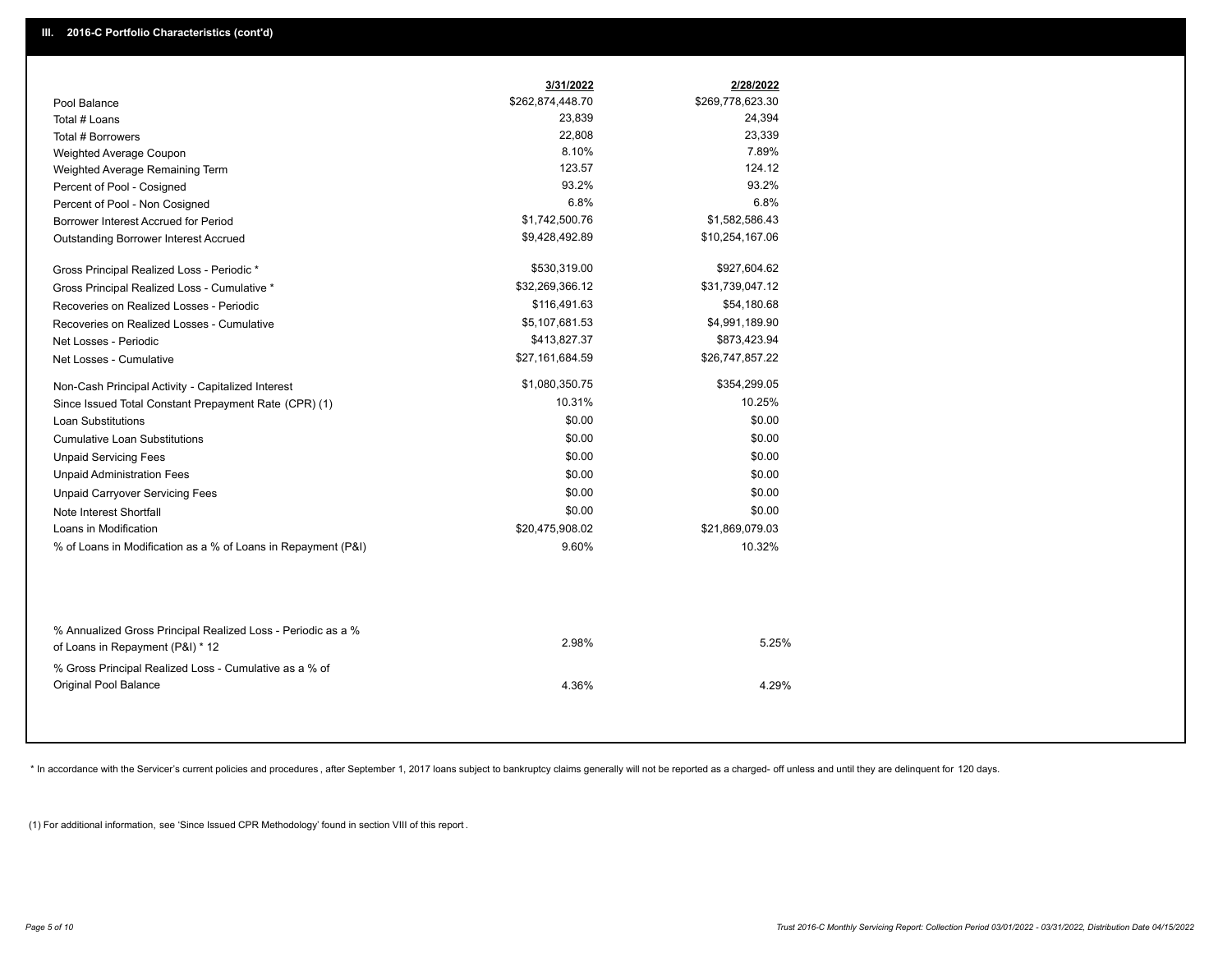|                                                                                                  | 3/31/2022        | 2/28/2022        |
|--------------------------------------------------------------------------------------------------|------------------|------------------|
| Pool Balance                                                                                     | \$262,874,448.70 | \$269,778,623.30 |
| Total # Loans                                                                                    | 23,839           | 24,394           |
| Total # Borrowers                                                                                | 22,808           | 23,339           |
| Weighted Average Coupon                                                                          | 8.10%            | 7.89%            |
| Weighted Average Remaining Term                                                                  | 123.57           | 124.12           |
| Percent of Pool - Cosigned                                                                       | 93.2%            | 93.2%            |
| Percent of Pool - Non Cosigned                                                                   | 6.8%             | 6.8%             |
| Borrower Interest Accrued for Period                                                             | \$1,742,500.76   | \$1,582,586.43   |
| Outstanding Borrower Interest Accrued                                                            | \$9,428,492.89   | \$10,254,167.06  |
| Gross Principal Realized Loss - Periodic *                                                       | \$530,319.00     | \$927,604.62     |
| Gross Principal Realized Loss - Cumulative *                                                     | \$32,269,366.12  | \$31,739,047.12  |
| Recoveries on Realized Losses - Periodic                                                         | \$116,491.63     | \$54,180.68      |
| Recoveries on Realized Losses - Cumulative                                                       | \$5,107,681.53   | \$4,991,189.90   |
| Net Losses - Periodic                                                                            | \$413,827.37     | \$873,423.94     |
| Net Losses - Cumulative                                                                          | \$27,161,684.59  | \$26,747,857.22  |
| Non-Cash Principal Activity - Capitalized Interest                                               | \$1,080,350.75   | \$354,299.05     |
| Since Issued Total Constant Prepayment Rate (CPR) (1)                                            | 10.31%           | 10.25%           |
| <b>Loan Substitutions</b>                                                                        | \$0.00           | \$0.00           |
| <b>Cumulative Loan Substitutions</b>                                                             | \$0.00           | \$0.00           |
| <b>Unpaid Servicing Fees</b>                                                                     | \$0.00           | \$0.00           |
| <b>Unpaid Administration Fees</b>                                                                | \$0.00           | \$0.00           |
| <b>Unpaid Carryover Servicing Fees</b>                                                           | \$0.00           | \$0.00           |
| Note Interest Shortfall                                                                          | \$0.00           | \$0.00           |
| Loans in Modification                                                                            | \$20,475,908.02  | \$21,869,079.03  |
| % of Loans in Modification as a % of Loans in Repayment (P&I)                                    | 9.60%            | 10.32%           |
|                                                                                                  |                  |                  |
| % Annualized Gross Principal Realized Loss - Periodic as a %<br>of Loans in Repayment (P&I) * 12 | 2.98%            | 5.25%            |
| % Gross Principal Realized Loss - Cumulative as a % of<br>Original Pool Balance                  | 4.36%            | 4.29%            |

\* In accordance with the Servicer's current policies and procedures, after September 1, 2017 loans subject to bankruptcy claims generally will not be reported as a charged- off unless and until they are delinquent for 120

(1) For additional information, see 'Since Issued CPR Methodology' found in section VIII of this report .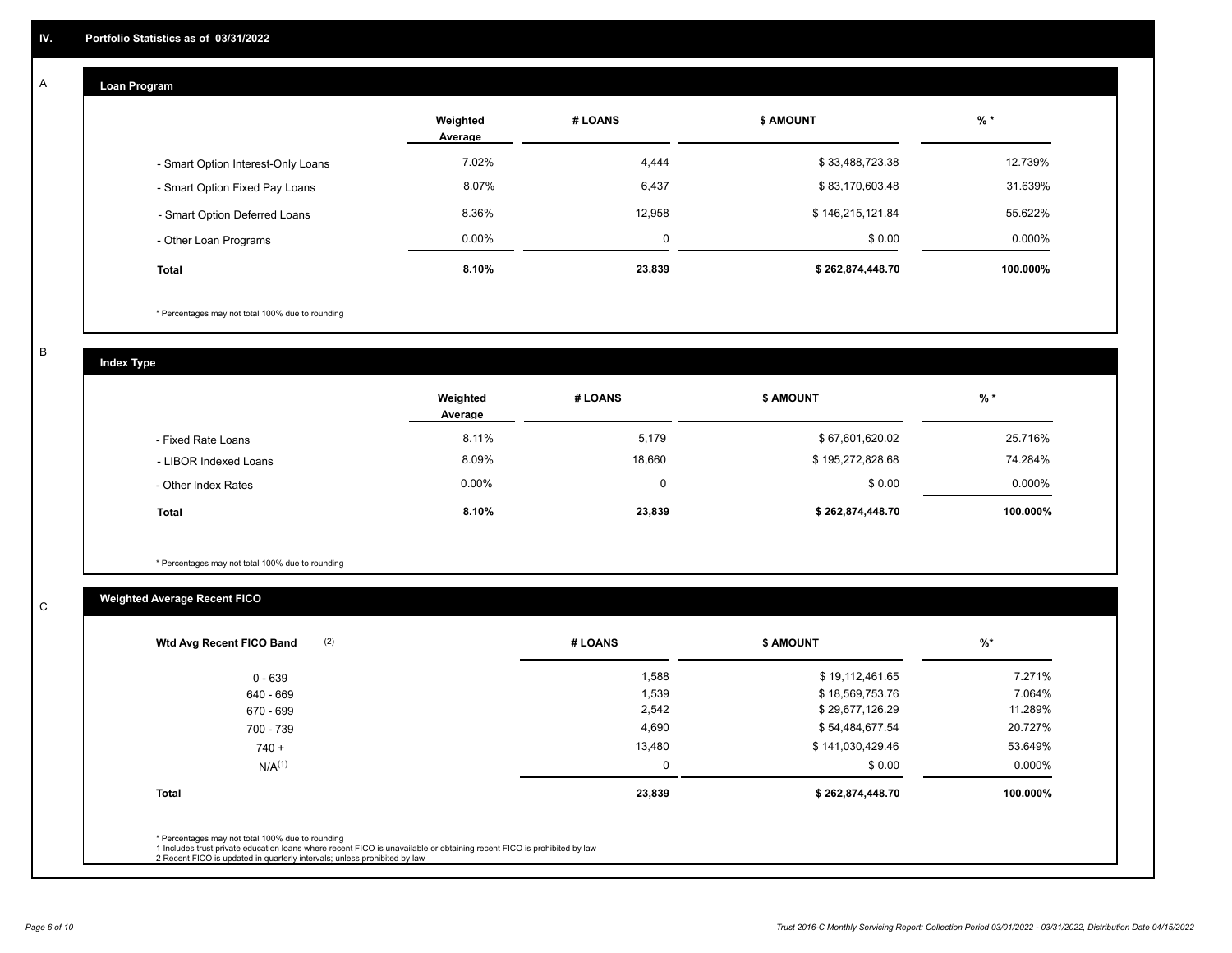### **Loan Program**

A

|                                    | Weighted<br>Average | # LOANS  | <b>\$ AMOUNT</b> | % *      |
|------------------------------------|---------------------|----------|------------------|----------|
| - Smart Option Interest-Only Loans | 7.02%               | 4,444    | \$33,488,723.38  | 12.739%  |
| - Smart Option Fixed Pay Loans     | 8.07%               | 6,437    | \$83,170,603.48  | 31.639%  |
| - Smart Option Deferred Loans      | 8.36%               | 12,958   | \$146,215,121.84 | 55.622%  |
| - Other Loan Programs              | $0.00\%$            | $\Omega$ | \$0.00           | 0.000%   |
| <b>Total</b>                       | 8.10%               | 23,839   | \$262,874,448.70 | 100.000% |

\* Percentages may not total 100% due to rounding

B

C

**Index Type**

|                       | Weighted<br>Average | # LOANS | <b>\$ AMOUNT</b> | $%$ *     |
|-----------------------|---------------------|---------|------------------|-----------|
| - Fixed Rate Loans    | 8.11%               | 5,179   | \$67,601,620.02  | 25.716%   |
| - LIBOR Indexed Loans | 8.09%               | 18,660  | \$195,272,828.68 | 74.284%   |
| - Other Index Rates   | $0.00\%$            | 0       | \$0.00           | $0.000\%$ |
| <b>Total</b>          | 8.10%               | 23,839  | \$262,874,448.70 | 100.000%  |

\* Percentages may not total 100% due to rounding

## **Weighted Average Recent FICO**

| 1,588<br>1,539 | \$19,112,461.65<br>\$18,569,753.76 | 7.271%    |
|----------------|------------------------------------|-----------|
|                |                                    |           |
|                |                                    | 7.064%    |
| 2,542          | \$29,677,126.29                    | 11.289%   |
| 4,690          | \$54,484,677.54                    | 20.727%   |
| 13,480         | \$141,030,429.46                   | 53.649%   |
| 0              | \$0.00                             | $0.000\%$ |
| 23,839         | \$262,874,448.70                   | 100.000%  |
|                |                                    |           |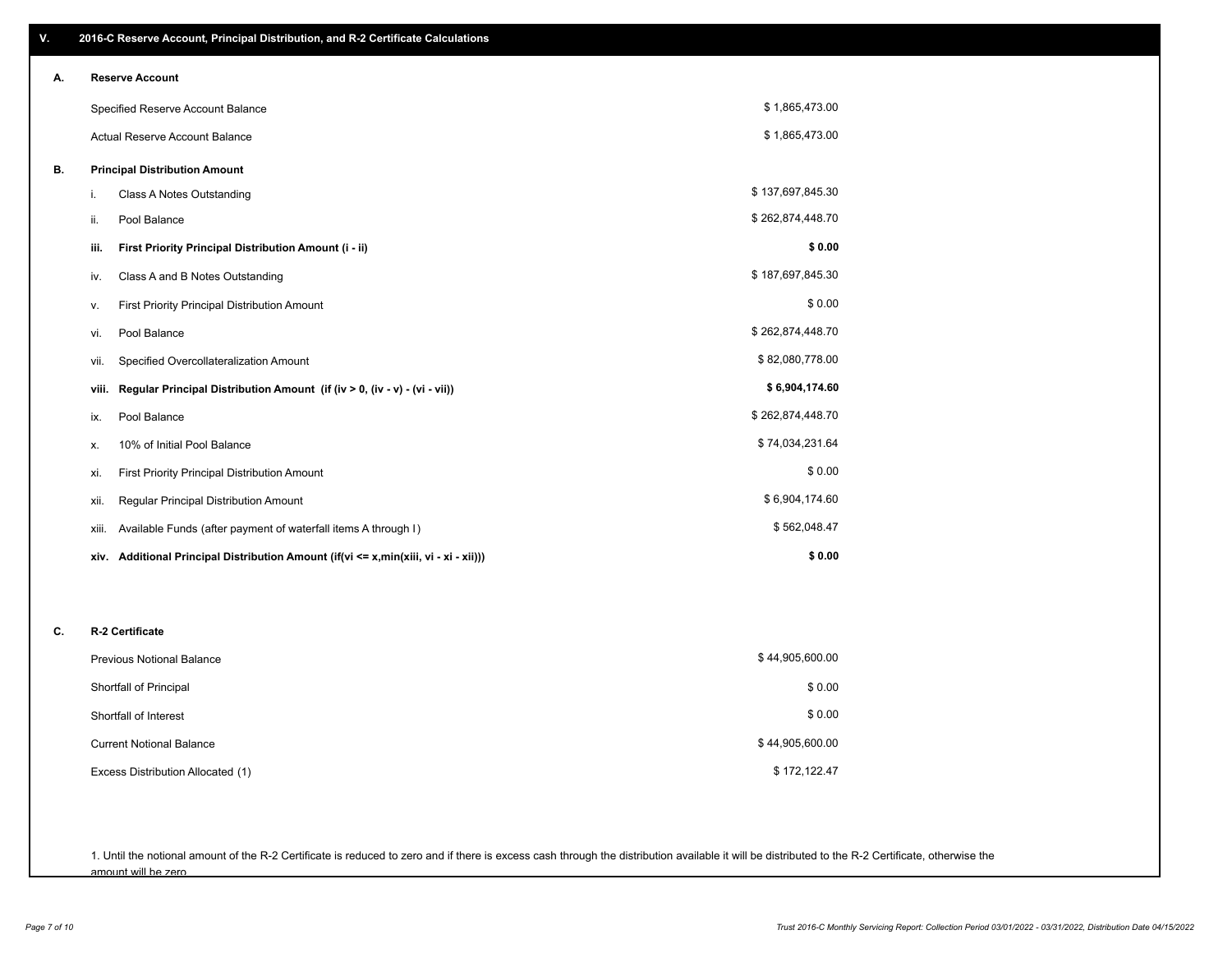| ٧. | 2016-C Reserve Account, Principal Distribution, and R-2 Certificate Calculations        |                  |  |  |
|----|-----------------------------------------------------------------------------------------|------------------|--|--|
| А. | <b>Reserve Account</b>                                                                  |                  |  |  |
|    | Specified Reserve Account Balance                                                       | \$1,865,473.00   |  |  |
|    | Actual Reserve Account Balance                                                          | \$1,865,473.00   |  |  |
| В. | <b>Principal Distribution Amount</b>                                                    |                  |  |  |
|    | i.<br>Class A Notes Outstanding                                                         | \$137,697,845.30 |  |  |
|    | Pool Balance<br>ii.                                                                     | \$262,874,448.70 |  |  |
|    | First Priority Principal Distribution Amount (i - ii)<br>iii.                           | \$0.00           |  |  |
|    | Class A and B Notes Outstanding<br>iv.                                                  | \$187,697,845.30 |  |  |
|    | First Priority Principal Distribution Amount<br>۷.                                      | \$0.00           |  |  |
|    | Pool Balance<br>vi.                                                                     | \$262,874,448.70 |  |  |
|    | Specified Overcollateralization Amount<br>vii.                                          | \$82,080,778.00  |  |  |
|    | Regular Principal Distribution Amount (if (iv > 0, (iv - v) - (vi - vii))<br>viii.      | \$6,904,174.60   |  |  |
|    | Pool Balance<br>ix.                                                                     | \$262,874,448.70 |  |  |
|    | 10% of Initial Pool Balance<br>Х.                                                       | \$74,034,231.64  |  |  |
|    | <b>First Priority Principal Distribution Amount</b><br>xi.                              | \$0.00           |  |  |
|    | Regular Principal Distribution Amount<br>xii.                                           | \$6,904,174.60   |  |  |
|    | Available Funds (after payment of waterfall items A through I)<br>xiii.                 | \$562,048.47     |  |  |
|    | Additional Principal Distribution Amount (if(vi <= x,min(xiii, vi - xi - xii)))<br>xiv. | \$0.00           |  |  |
|    |                                                                                         |                  |  |  |
| C. | R-2 Certificate                                                                         |                  |  |  |
|    | <b>Previous Notional Balance</b>                                                        | \$44,905,600.00  |  |  |
|    | Shortfall of Principal                                                                  | \$0.00           |  |  |
|    | Shortfall of Interest                                                                   | \$0.00           |  |  |
|    | <b>Current Notional Balance</b>                                                         | \$44,905,600.00  |  |  |
|    | Excess Distribution Allocated (1)                                                       | \$172,122.47     |  |  |
|    |                                                                                         |                  |  |  |

1. Until the notional amount of the R-2 Certificate is reduced to zero and if there is excess cash through the distribution available it will be distributed to the R-2 Certificate, otherwise the amount will be zero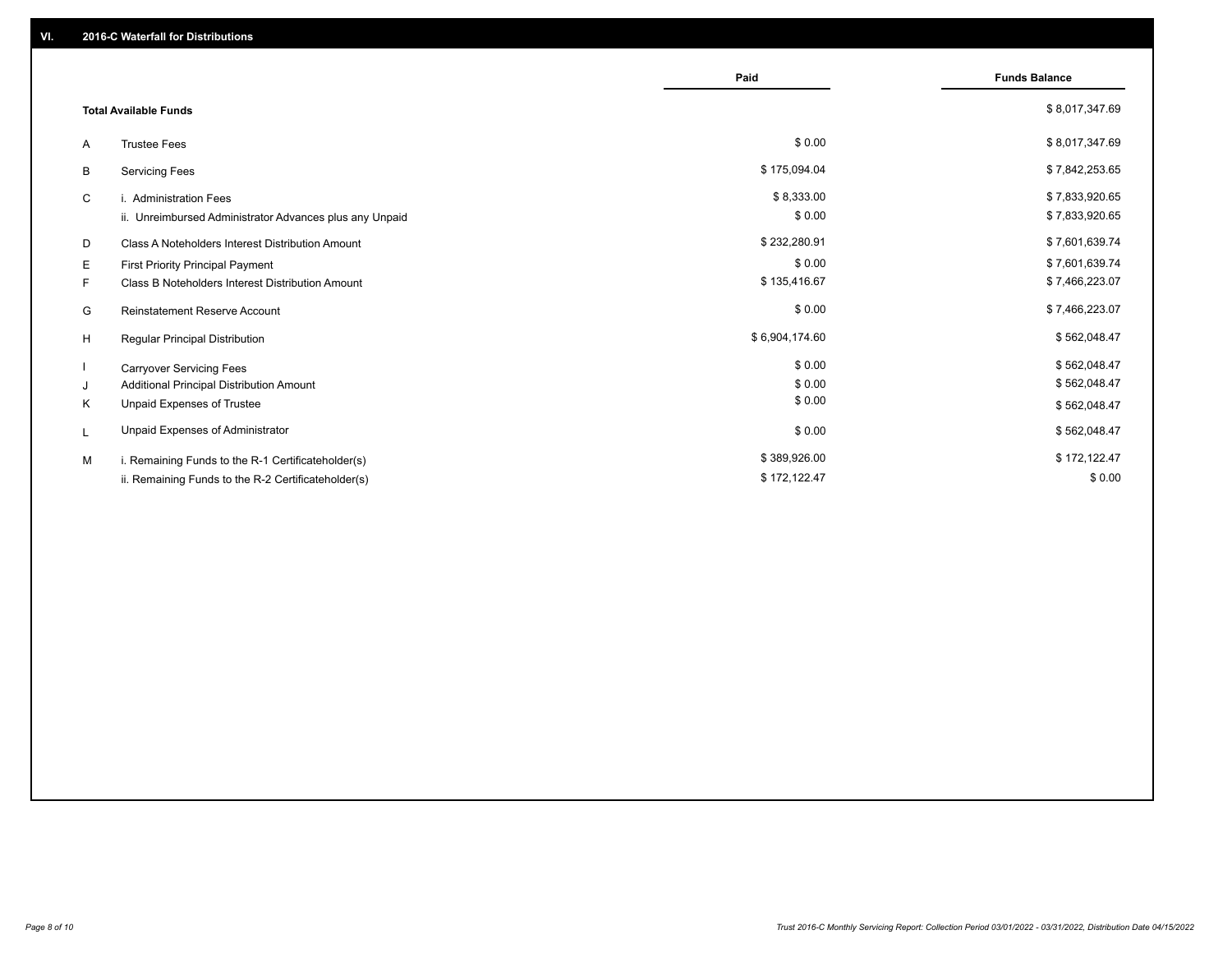|                                                         | Paid           | <b>Funds Balance</b> |
|---------------------------------------------------------|----------------|----------------------|
| <b>Total Available Funds</b>                            |                | \$8,017,347.69       |
| <b>Trustee Fees</b><br>A                                | \$0.00         | \$8,017,347.69       |
| В<br><b>Servicing Fees</b>                              | \$175,094.04   | \$7,842,253.65       |
| C<br>i. Administration Fees                             | \$8,333.00     | \$7,833,920.65       |
| ii. Unreimbursed Administrator Advances plus any Unpaid | \$0.00         | \$7,833,920.65       |
| D<br>Class A Noteholders Interest Distribution Amount   | \$232,280.91   | \$7,601,639.74       |
| Е<br>First Priority Principal Payment                   | \$0.00         | \$7,601,639.74       |
| Class B Noteholders Interest Distribution Amount<br>F.  | \$135,416.67   | \$7,466,223.07       |
| <b>Reinstatement Reserve Account</b><br>G               | \$0.00         | \$7,466,223.07       |
| H<br>Regular Principal Distribution                     | \$6,904,174.60 | \$562,048.47         |
| <b>Carryover Servicing Fees</b>                         | \$0.00         | \$562,048.47         |
| Additional Principal Distribution Amount<br>J           | \$0.00         | \$562,048.47         |
| Κ<br>Unpaid Expenses of Trustee                         | \$0.00         | \$562,048.47         |
| Unpaid Expenses of Administrator<br>L                   | \$0.00         | \$562,048.47         |
| M<br>i. Remaining Funds to the R-1 Certificateholder(s) | \$389,926.00   | \$172,122.47         |
| ii. Remaining Funds to the R-2 Certificateholder(s)     | \$172,122.47   | \$0.00               |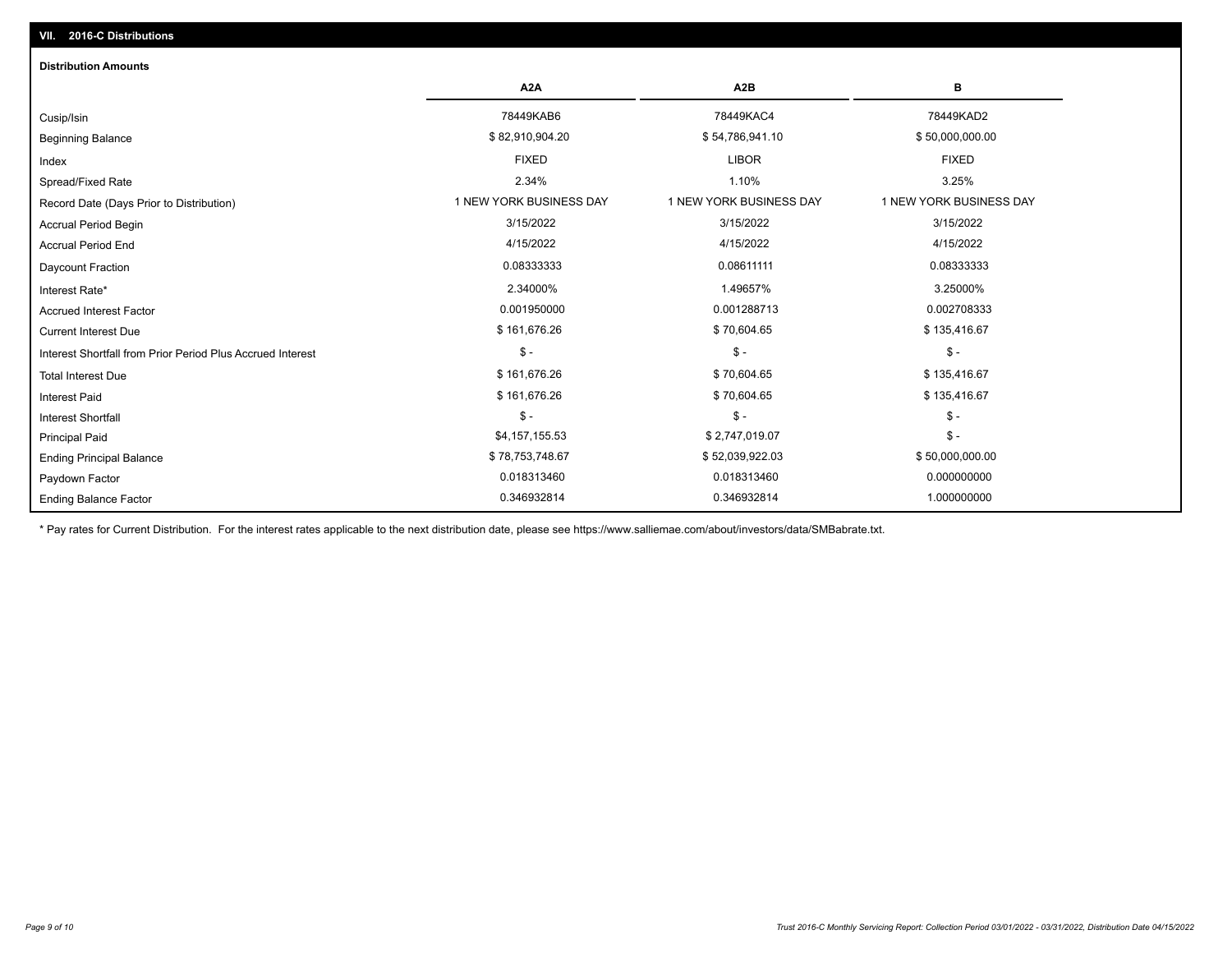## Ending Balance Factor Paydown Factor 0.018313460 0.018313460 0.000000000 Ending Principal Balance \$57,030,000.00 \$78,753,748.67 \$52,039,922.03 \$52,039,922.03 \$50,000,000.00 Principal Paid \$4,157,155.53 \$ 2,747,019.07 \$ - \$ - \$ - \$ - Interest Shortfall \$ 161,676.26 \$ 70,604.65 \$ 135,416.67 Interest Paid Total Interest Due \$ 161,676.26 \$ 70,604.65 \$ 70,604.65 \$ 755,416.67 \$ 161,676.26 \$ - \$ - \$ - Interest Shortfall from Prior Period Plus Accrued Interest Current Interest Due \$ 161,676.26 \$ 70,604.65 \$ 135,416.67 Accrued Interest Factor **2.0002708333** 0.001950000 0.001950000 0.001288713 0.001288713 0.002708333 Interest Rate\* 2.34000% 1.49657% 3.25000% Daycount Fraction 0.08333333 0.08611111 0.08333333 Accrual Period End 4/15/2022 4/15/2022 4/15/2022 Accrual Period Begin 3/15/2022 3/15/2022 3/15/2022 Record Date (Days Prior to Distribution) **1 NEW YORK BUSINESS DAY** 1 NEW YORK BUSINESS DAY 1 NEW YORK BUSINESS DAY Spread/Fixed Rate 2.34% 1.10% 3.25% Index FIXED LIBOR FIXED Beginning Balance \$ 82,910,904.20 \$ \$2,910,904.20 \$ 54,786,941.10 \$ 54,786,941.10 \$ 50,000,000.00 Cusip/Isin 78449KAB6 78449KAC4 78449KAD2 **A2A A2B B** 0.346932814 0.346932814 1.000000000 **Distribution Amounts**

\* Pay rates for Current Distribution. For the interest rates applicable to the next distribution date, please see https://www.salliemae.com/about/investors/data/SMBabrate.txt.

**VII. 2016-C Distributions**